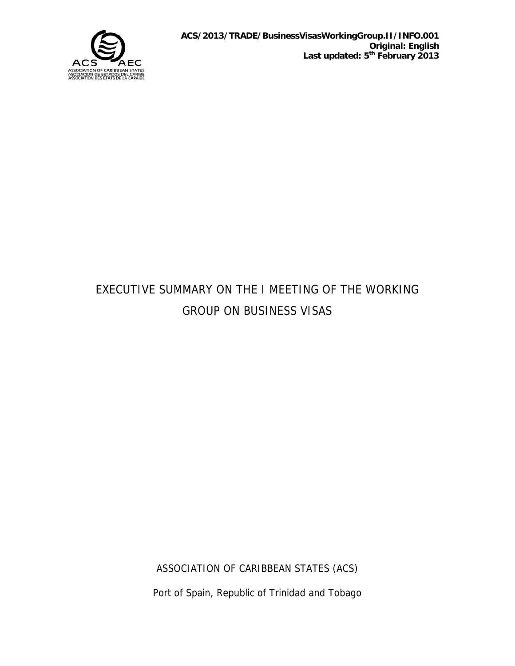

# EXECUTIVE SUMMARY ON THE I MEETING OF THE WORKING GROUP ON BUSINESS VISAS

ASSOCIATION OF CARIBBEAN STATES (ACS) Port of Spain, Republic of Trinidad and Tobago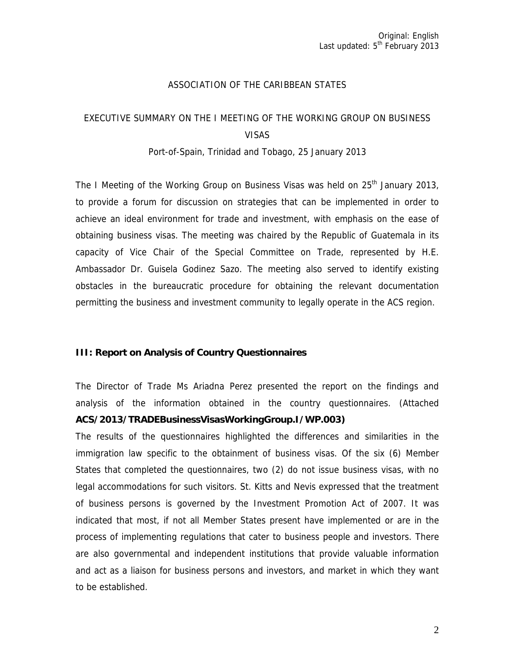### ASSOCIATION OF THE CARIBBEAN STATES

# EXECUTIVE SUMMARY ON THE I MEETING OF THE WORKING GROUP ON BUSINESS VISAS

#### Port-of-Spain, Trinidad and Tobago, 25 January 2013

The I Meeting of the Working Group on Business Visas was held on  $25<sup>th</sup>$  January 2013, to provide a forum for discussion on strategies that can be implemented in order to achieve an ideal environment for trade and investment, with emphasis on the ease of obtaining business visas. The meeting was chaired by the Republic of Guatemala in its capacity of Vice Chair of the Special Committee on Trade, represented by H.E. Ambassador Dr. Guisela Godinez Sazo. The meeting also served to identify existing obstacles in the bureaucratic procedure for obtaining the relevant documentation permitting the business and investment community to legally operate in the ACS region.

#### **III: Report on Analysis of Country Questionnaires**

The Director of Trade Ms Ariadna Perez presented the report on the findings and analysis of the information obtained in the country questionnaires. (Attached **ACS/2013/TRADEBusinessVisasWorkingGroup.I/WP.003)** 

The results of the questionnaires highlighted the differences and similarities in the immigration law specific to the obtainment of business visas. Of the six (6) Member States that completed the questionnaires, two (2) do not issue business visas, with no legal accommodations for such visitors. St. Kitts and Nevis expressed that the treatment of business persons is governed by the Investment Promotion Act of 2007. It was indicated that most, if not all Member States present have implemented or are in the process of implementing regulations that cater to business people and investors. There are also governmental and independent institutions that provide valuable information and act as a liaison for business persons and investors, and market in which they want to be established.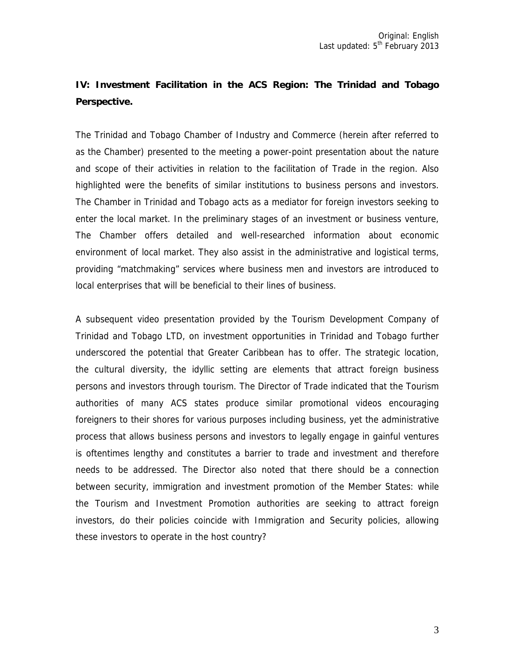# **IV: Investment Facilitation in the ACS Region: The Trinidad and Tobago Perspective.**

The Trinidad and Tobago Chamber of Industry and Commerce (herein after referred to as the Chamber) presented to the meeting a power-point presentation about the nature and scope of their activities in relation to the facilitation of Trade in the region. Also highlighted were the benefits of similar institutions to business persons and investors. The Chamber in Trinidad and Tobago acts as a mediator for foreign investors seeking to enter the local market. In the preliminary stages of an investment or business venture, The Chamber offers detailed and well-researched information about economic environment of local market. They also assist in the administrative and logistical terms, providing "matchmaking" services where business men and investors are introduced to local enterprises that will be beneficial to their lines of business.

A subsequent video presentation provided by the Tourism Development Company of Trinidad and Tobago LTD, on investment opportunities in Trinidad and Tobago further underscored the potential that Greater Caribbean has to offer. The strategic location, the cultural diversity, the idyllic setting are elements that attract foreign business persons and investors through tourism. The Director of Trade indicated that the Tourism authorities of many ACS states produce similar promotional videos encouraging foreigners to their shores for various purposes including business, yet the administrative process that allows business persons and investors to legally engage in gainful ventures is oftentimes lengthy and constitutes a barrier to trade and investment and therefore needs to be addressed. The Director also noted that there should be a connection between security, immigration and investment promotion of the Member States: while the Tourism and Investment Promotion authorities are seeking to attract foreign investors, do their policies coincide with Immigration and Security policies, allowing these investors to operate in the host country?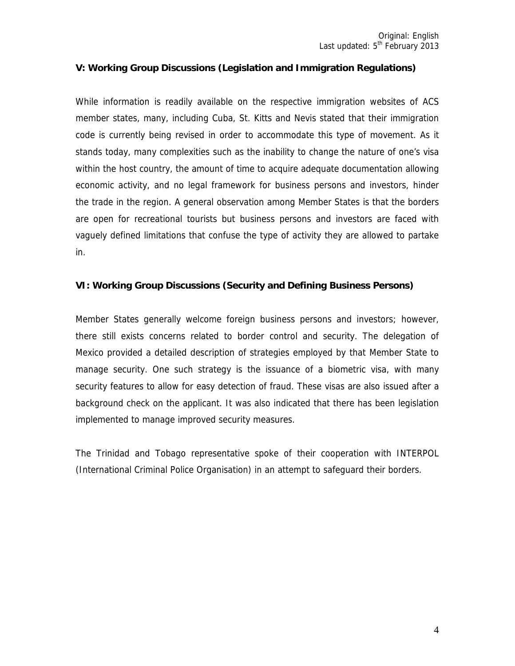## **V: Working Group Discussions (Legislation and Immigration Regulations)**

While information is readily available on the respective immigration websites of ACS member states, many, including Cuba, St. Kitts and Nevis stated that their immigration code is currently being revised in order to accommodate this type of movement. As it stands today, many complexities such as the inability to change the nature of one's visa within the host country, the amount of time to acquire adequate documentation allowing economic activity, and no legal framework for business persons and investors, hinder the trade in the region. A general observation among Member States is that the borders are open for recreational tourists but business persons and investors are faced with vaguely defined limitations that confuse the type of activity they are allowed to partake in.

### **VI: Working Group Discussions (Security and Defining Business Persons)**

Member States generally welcome foreign business persons and investors; however, there still exists concerns related to border control and security. The delegation of Mexico provided a detailed description of strategies employed by that Member State to manage security. One such strategy is the issuance of a biometric visa, with many security features to allow for easy detection of fraud. These visas are also issued after a background check on the applicant. It was also indicated that there has been legislation implemented to manage improved security measures.

The Trinidad and Tobago representative spoke of their cooperation with INTERPOL (International Criminal Police Organisation) in an attempt to safeguard their borders.